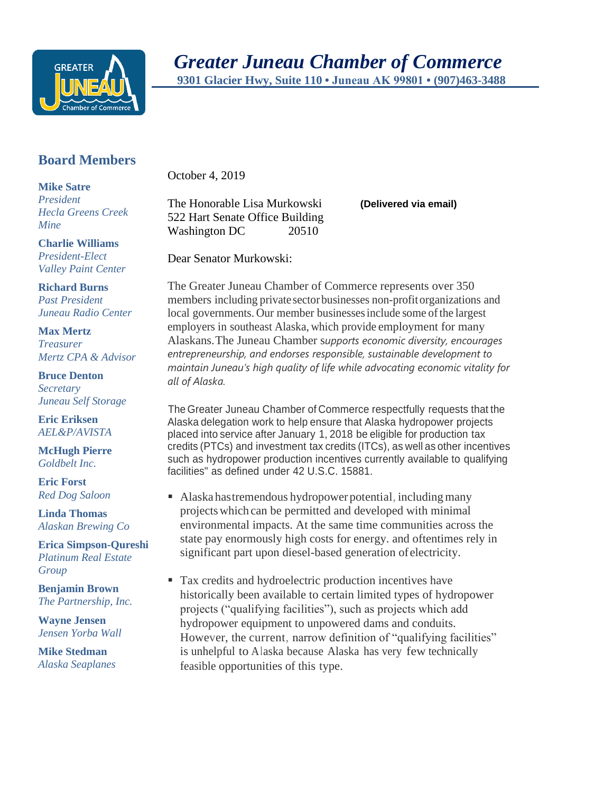

## **Board Members**

**Mike Satre** *President Hecla Greens Creek Mine*

**Charlie Williams** *President-Elect Valley Paint Center*

**Richard Burns** *Past President Juneau Radio Center*

**Max Mertz** *Treasurer Mertz CPA & Advisor*

**Bruce Denton** *Secretary Juneau Self Storage*

**Eric Eriksen** *AEL&P/AVISTA*

**McHugh Pierre** *Goldbelt Inc.*

**Eric Forst** *Red Dog Saloon*

**Linda Thomas** *Alaskan Brewing Co*

**Erica Simpson-Qureshi** *Platinum Real Estate Group*

**Benjamin Brown** *The Partnership, Inc.*

**Wayne Jensen** *Jensen Yorba Wall*

**Mike Stedman** *Alaska Seaplanes* October 4, 2019

The Honorable Lisa Murkowski **(Delivered via email)** 522 Hart Senate Office Building Washington DC 20510

Dear Senator Murkowski:

The Greater Juneau Chamber of Commerce represents over 350 members including private sectorbusinesses non-profitorganizations and local governments. Our member businesses include some of the largest employers in southeast Alaska, which provide employment for many Alaskans.The Juneau Chamber s*upports economic diversity, encourages entrepreneurship, and endorses responsible, sustainable development to maintain Juneau's high quality of life while advocating economic vitality for all of Alaska.*

The Greater Juneau Chamber of Commerce respectfully requests that the Alaska delegation work to help ensure that Alaska hydropower projects placed into service after January 1, 2018 be eligible for production tax credits (PTCs) and investment tax credits (ITCs), as well as other incentives such as hydropower production incentives currently available to qualifying facilities" as defined under 42 U.S.C. 15881.

- Alaska has tremendous hydropower potential, including many projectswhich can be permitted and developed with minimal environmental impacts. At the same time communities across the state pay enormously high costs for energy. and oftentimes rely in significant part upon diesel-based generation ofelectricity.
- Tax credits and hydroelectric production incentives have historically been available to certain limited types of hydropower projects ("qualifying facilities"), such as projects which add hydropower equipment to unpowered dams and conduits. However, the current, narrow definition of "qualifying facilities" is unhelpful to Alaska because Alaska has very few technically feasible opportunities of this type.